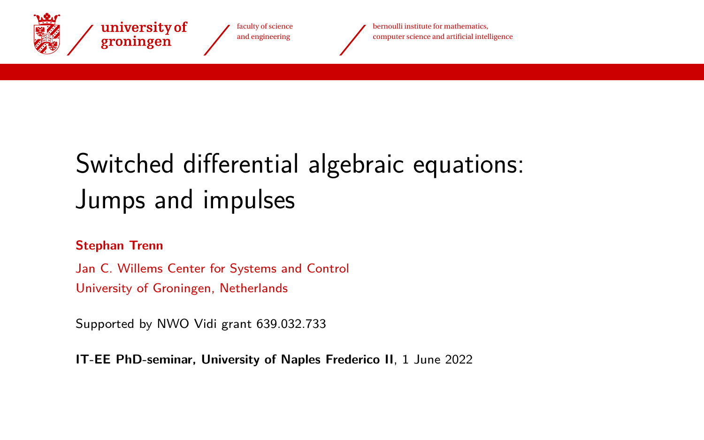<span id="page-0-0"></span>

faculty of science and engineering

bernoulli institute for mathematics, computer science and artificial intelligence

# Switched differential algebraic equations: Jumps and impulses

#### **Stephan Trenn**

Jan C. Willems Center for Systems and Control University of Groningen, Netherlands

Supported by NWO Vidi grant 639.032.733

**IT-EE PhD-seminar, University of Naples Frederico II**, 1 June 2022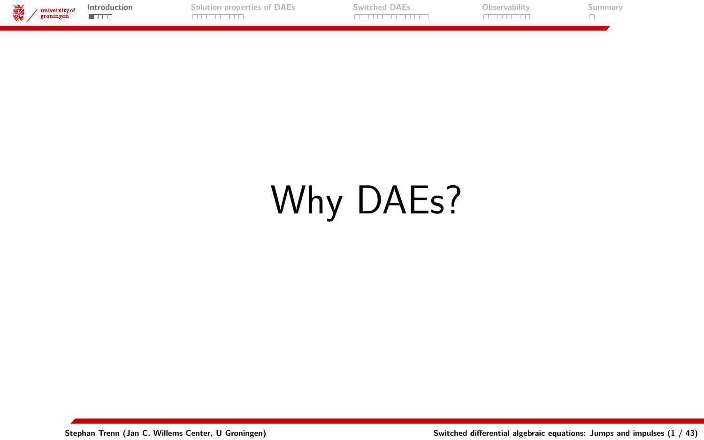<span id="page-1-0"></span>

| स्ल | university of<br>------<br>roninger | roduction | IAE. | Ubservabilit | линная |
|-----|-------------------------------------|-----------|------|--------------|--------|
|     |                                     |           |      |              |        |
|     |                                     |           |      |              |        |

# Why DAEs?

**Stephan Trenn (Jan C. Willems Center, U Groningen) [Switched differential algebraic equations: Jumps and impulses](#page-0-0) (1 / 43)**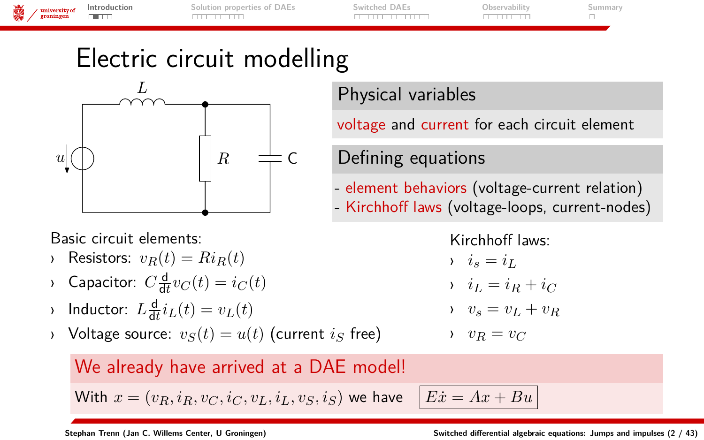| o.e.<br>v | · university of | Introduction | Solution properties of DAEs | Switched DAEs | Observabilit | Summar<br>-------- |
|-----------|-----------------|--------------|-----------------------------|---------------|--------------|--------------------|
|           | groningen       | --           |                             |               | .            |                    |
|           |                 |              |                             |               |              |                    |

# Electric circuit modelling



Basic circuit elements:

- Resistors:  $v_R(t) = Ri_R(t)$
- $\Omega$  Capacitor:  $C \frac{d}{dt} v_C(t) = i_C(t)$
- $\lambda$  Inductor:  $L \frac{d}{dt} i_L(t) = v_L(t)$
- $\rightarrow$  Voltage source:  $v_S(t) = u(t)$  (current *i<sub>S</sub>* free)

We already have arrived at a DAE model!

With  $x = (v_R, i_R, v_C, i_C, v_L, i_L, v_S, i_S)$  we have  $|Ex = Ax + Bu|$ 

Physical variables

voltage and current for each circuit element

Defining equations

- element behaviors (voltage-current relation) - Kirchhoff laws (voltage-loops, current-nodes)

> Kirchhoff laws:  $i_s = i_L$  $i_L = i_R + i_C$  $v_s = v_L + v_R$  $v_R = v_C$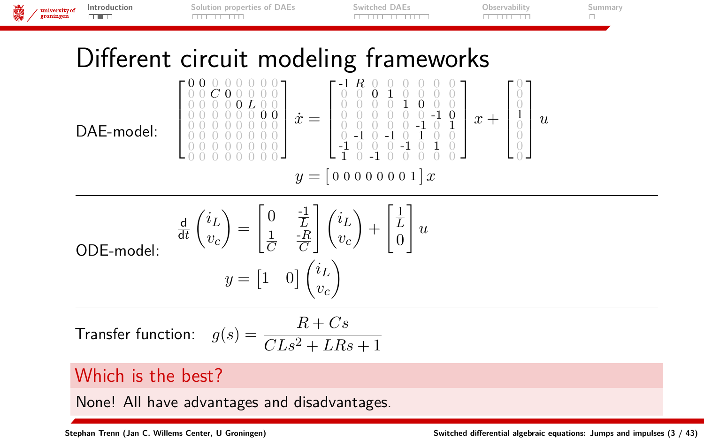

None! All have advantages and disadvantages.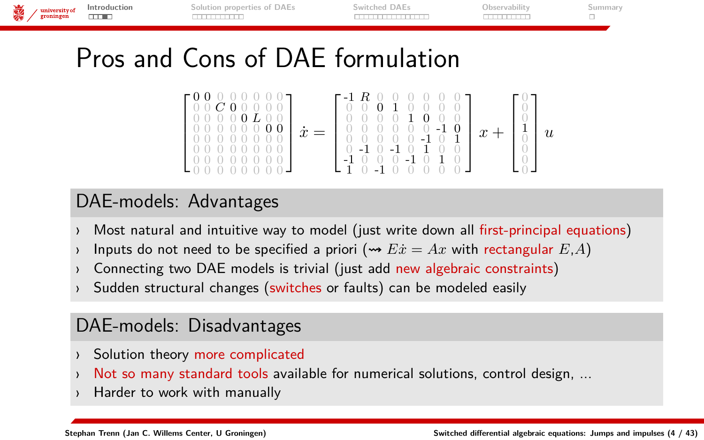| university of<br>groningen | Introduction | Solution properties of DAEs | Switched DAEs | Observability | ummar |
|----------------------------|--------------|-----------------------------|---------------|---------------|-------|
|                            |              |                             |               |               |       |
|                            |              |                             |               |               |       |

# Pros and Cons of DAE formulation

 0 0 0 0 0 0 0 0 0 0 *C* 0 0 0 0 0 0 0 0 0 0 *L* 0 0 0 0 0 0 0 0 0 0 0 0 0 0 0 0 0 0 0 0 0 0 0 0 0 0 0 0 0 0 0 0 0 0 0 0 0 0 0 0 0 0 *x*˙ = -1 *R* 0 0 0 0 0 0 0 0 0 1 0 0 0 0 0 0 0 0 1 0 0 0 0 0 0 0 0 0 -1 0 0 0 0 0 0 -1 0 1 0 -1 0 -1 0 1 0 0 -1 0 0 0 -1 0 1 0 1 0 -1 0 0 0 0 0 *x* + 0 0 0 1 0 0 0 0 *u*

### DAE-models: Advantages

- Most natural and intuitive way to model (just write down all first-principal equations)
- Inputs do not need to be specified a priori ( $\rightarrow$   $E\dot{x} = Ax$  with rectangular  $E,A$ )
- › Connecting two DAE models is trivial (just add new algebraic constraints)
- Sudden structural changes (switches or faults) can be modeled easily

### DAE-models: Disadvantages

- Solution theory more complicated
- Not so many standard tools available for numerical solutions, control design, ...
- Harder to work with manually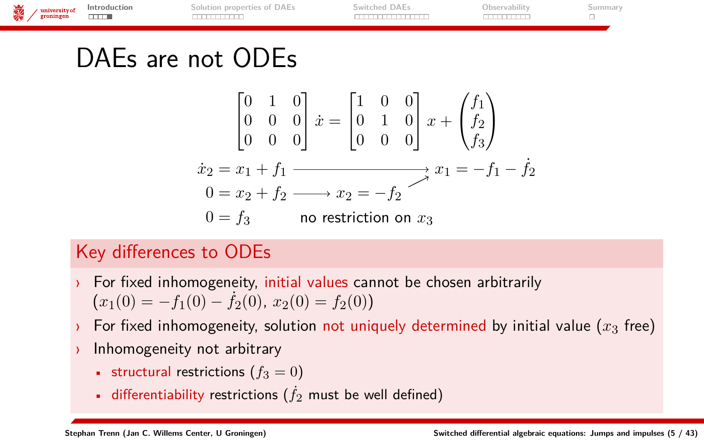| 。 | $\sqrt{\frac{university of}{groningen}}$ | Introduction | Solution properties of DAEs | Switched DAEs | Observability | ummar |
|---|------------------------------------------|--------------|-----------------------------|---------------|---------------|-------|
|   |                                          |              |                             |               |               |       |
|   |                                          |              |                             |               |               |       |

### DAEs are not ODEs

$$
\begin{bmatrix} 0 & 1 & 0 \ 0 & 0 & 0 \ 0 & 0 & 0 \end{bmatrix} \dot{x} = \begin{bmatrix} 1 & 0 & 0 \ 0 & 1 & 0 \ 0 & 0 & 0 \end{bmatrix} x + \begin{pmatrix} f_1 \\ f_2 \\ f_3 \end{pmatrix}
$$
  
\n
$$
\begin{aligned} \dot{x}_2 &= x_1 + f_1 &\xrightarrow{2} x_2 = -f_2 \\ 0 &= f_3 &\text{no restriction on } x_3 \end{aligned}
$$

### Key differences to ODEs

- For fixed inhomogeneity, initial values cannot be chosen arbitrarily  $(x_1(0) = -f_1(0) - f_2(0), x_2(0) = f_2(0)$
- › For fixed inhomogeneity, solution not uniquely determined by initial value (*x*<sup>3</sup> free)
- › Inhomogeneity not arbitrary
	- structural restrictions ( $f_3 = 0$ )
	- differentiability restrictions  $(j_2$  must be well defined)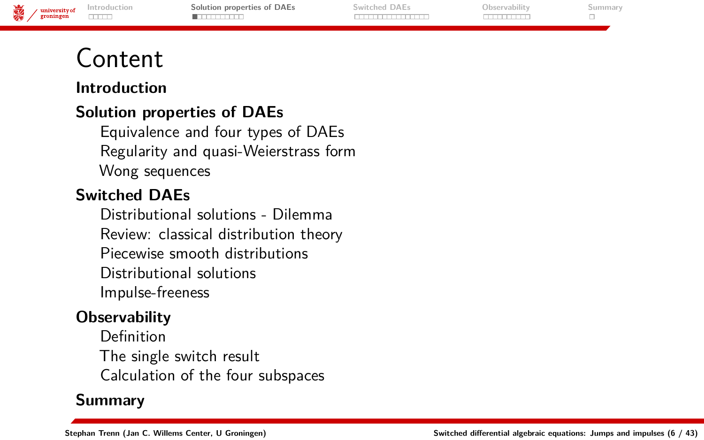**[Introduction](#page-1-0) [Solution properties of DAEs](#page-6-0) [Switched DAEs](#page-17-0) [Observability](#page-36-0) [Summary](#page-46-0)** university of groningen mm **. . . . . . . . . . . . . . . . TUTTUTTI**  $\Box$ 

# <span id="page-6-0"></span>Content

#### **[Introduction](#page-1-0)**

### **[Solution properties of DAEs](#page-6-0)**

[Equivalence and four types of DAEs](#page-7-0) [Regularity and quasi-Weierstrass form](#page-10-0) [Wong sequences](#page-12-0)

### **[Switched DAEs](#page-17-0)**

[Distributional solutions - Dilemma](#page-23-0) [Review: classical distribution theory](#page-25-0) [Piecewise smooth distributions](#page-29-0) [Distributional solutions](#page-31-0) [Impulse-freeness](#page-34-0)

#### **[Observability](#page-36-0)**

[Definition](#page-37-0) [The single switch result](#page-39-0) [Calculation of the four subspaces](#page-41-0)

### **[Summary](#page-46-0)**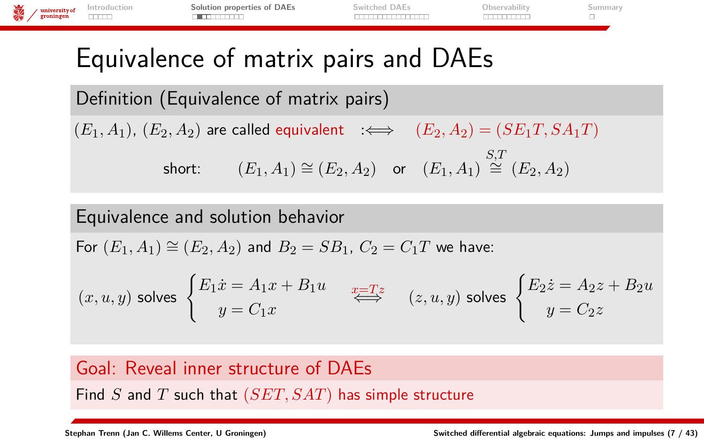<span id="page-7-0"></span>

| 議<br>university of<br>groningen | Introduction<br><b>THEFT</b> | Solution properties of DAEs                                                         | Switched DAEs | Observability | Summary |
|---------------------------------|------------------------------|-------------------------------------------------------------------------------------|---------------|---------------|---------|
|                                 |                              | Equivalence of matrix pairs and DAEs                                                |               |               |         |
|                                 |                              | Definition (Equivalence of matrix pairs)                                            |               |               |         |
|                                 |                              | $(E_1, A_1), (E_2, A_2)$ are called equivalent $\iff$ $(E_2, A_2) = (SE_1T, SA_1T)$ |               |               |         |

 $\quad \text{short:} \qquad (E_1, A_1) \cong (E_2, A_2) \quad \text{or} \quad (E_1, A_1) \stackrel{S,T}{\cong} (E_2, A_2)$ 

### Equivalence and solution behavior

For  $(E_1, A_1) \cong (E_2, A_2)$  and  $B_2 = SB_1$ ,  $C_2 = C_1T$  we have:

$$
(x, u, y) \text{ solves } \begin{cases} E_1 \dot{x} = A_1 x + B_1 u \\ y = C_1 x \end{cases} \overset{x = Tz}{\iff} \quad (z, u, y) \text{ solves } \begin{cases} E_2 \dot{z} = A_2 z + B_2 u \\ y = C_2 z \end{cases}
$$

### Goal: Reveal inner structure of DAEs

Find *S* and *T* such that (*SET, SAT*) has simple structure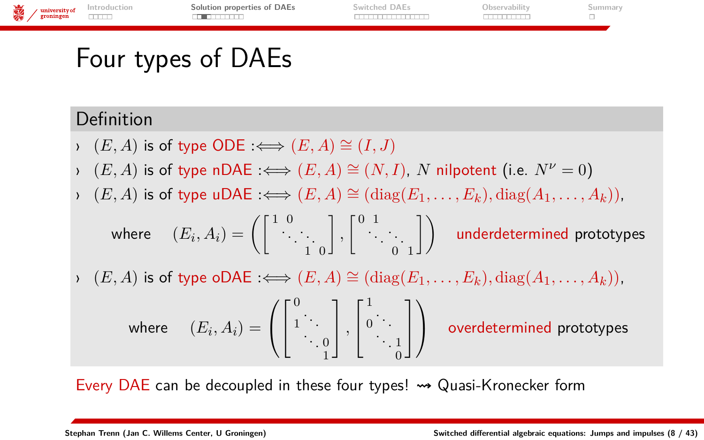

# Four types of DAEs

### Definition

- $\rightarrow$   $(E, A)$  is of type ODE : $\Longleftrightarrow$   $(E, A) \cong (I, J)$
- $\rightarrow$   $(E, A)$  is of type nDAE : $\Longleftrightarrow$   $(E, A) \cong (N, I)$ , *N* nilpotent (i.e.  $N^{\nu} = 0$ )
- $\rightarrow$   $(E, A)$  is of type uDAE : $\Longleftrightarrow$   $(E, A) \cong$   $(\text{diag}(E_1, \ldots, E_k), \text{diag}(A_1, \ldots, A_k)).$

where  $(E_i, A_i) = \left( \left[ \begin{smallmatrix} 1 & 0 \ & \ddots & \ddots & \ & & 1 & 0 \end{smallmatrix} \right]$  $\Bigg], \Bigg[ \begin{array}{ccc} 0 & 1 & & \ & \ddots & \ & & 0 & 1 \end{array}$  $\big] \big)$  underdetermined prototypes

 $\rightarrow$   $(E, A)$  is of type oDAE : $\Longleftrightarrow$   $(E, A) \cong$  (diag( $E_1, \ldots, E_k$ ), diag( $A_1, \ldots, A_k$ )).

where  $(E_i, A_i) =$  $\sqrt{ }$  $\mathcal{L}$  $\sqrt{ }$  $\vert$  $\mathbf{0}$  $\begin{bmatrix} 1 & \cdots & 0 \\ 0 & 0 & 0 \\ 0 & 0 & 0 \end{bmatrix}$ 1 1 *,*  $\sqrt{ }$  $\overline{\phantom{a}}$ 1  $\begin{array}{c} 0 \\ 0 \\ 1 \end{array}$ 0 1  $\vert$  $\setminus$ overdetermined prototypes

Every DAE can be decoupled in these four types!  $\rightarrow$  Quasi-Kronecker form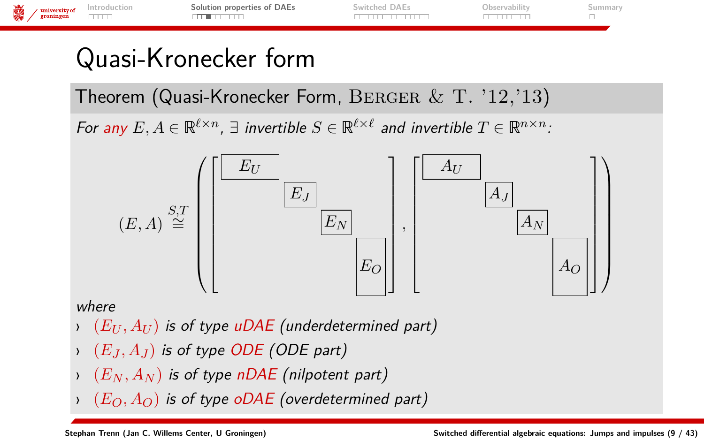

### Quasi-Kronecker form

Theorem (Quasi-Kronecker Form, BERGER  $&$  T.  $'12,'13)$ 

For any  $E, A \in \mathbb{R}^{\ell \times n}$ ,  $\exists$  invertible  $S \in \mathbb{R}^{\ell \times \ell}$  and invertible  $T \in \mathbb{R}^{n \times n}$ .



#### where

- › (*E<sup>U</sup> , A<sup>U</sup>* ) is of type uDAE (underdetermined part)
- $\rightarrow$   $(E_J, A_J)$  is of type ODE (ODE part)
- $(E_N, A_N)$  is of type nDAE (nilpotent part)
- $(E_O, A_O)$  is of type oDAE (overdetermined part)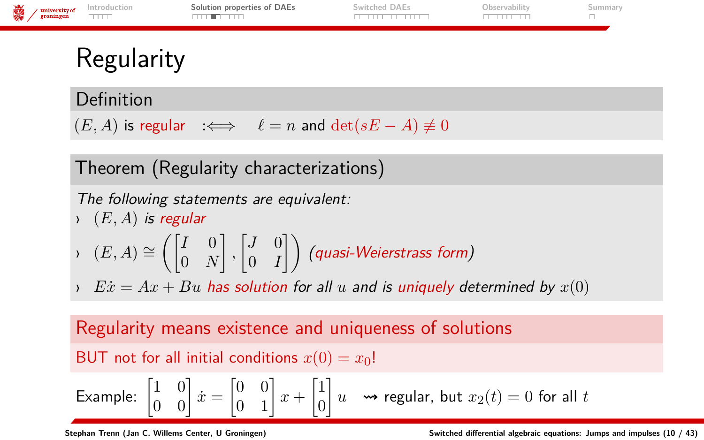<span id="page-10-0"></span>

Definition

 $(E, A)$  is regular  $\iff$   $\ell = n$  and  $\det(sE - A) \not\equiv 0$ 

Theorem (Regularity characterizations)

The following statements are equivalent:

- $\rightarrow$   $(E, A)$  is regular  $\rightarrow$  (*E*, *A*) ≅  $\begin{pmatrix} I & 0 \\ 0 & \lambda \end{pmatrix}$ 0 *N*  $\begin{bmatrix} J & 0 \\ 0 & I \end{bmatrix}$  $\begin{pmatrix} J & 0 \ 0 & I \end{pmatrix}$  (quasi-Weierstrass form)
- $\rightarrow$  *Ex* = Ax + *Bu* has solution for all *u* and is uniquely determined by  $x(0)$

Regularity means existence and uniqueness of solutions BUT not for all initial conditions  $x(0) = x_0!$ Example:  $\begin{bmatrix} 1 & 0 \\ 0 & 0 \end{bmatrix} \dot{x} = \begin{bmatrix} 0 & 0 \\ 0 & 1 \end{bmatrix} x + \begin{bmatrix} 1 \\ 0 \end{bmatrix}$ 0 *u*  regular, but *x*2(*t*) = 0 for all *t*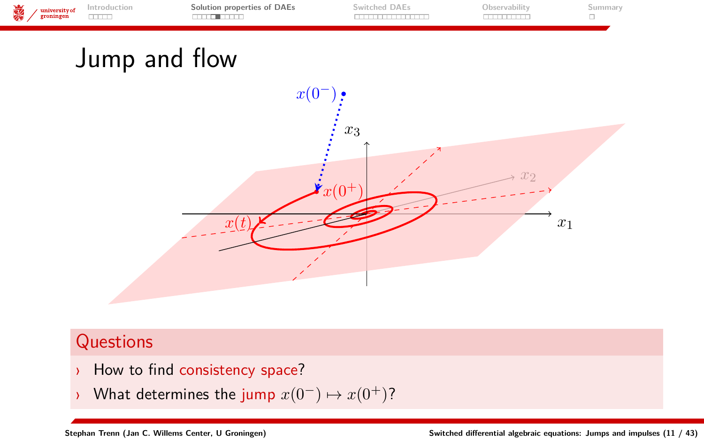| 義 | $\sqrt{\frac{\text{university of}}{\text{groningen}}}\$ | Solution properties of DAEs | Switched DAEs | Jbservabili |  |
|---|---------------------------------------------------------|-----------------------------|---------------|-------------|--|
|   |                                                         |                             |               |             |  |

# Jump and flow



### **Questions**

- How to find consistency space?
- What determines the jump  $x(0^-) \mapsto x(0^+)$ ?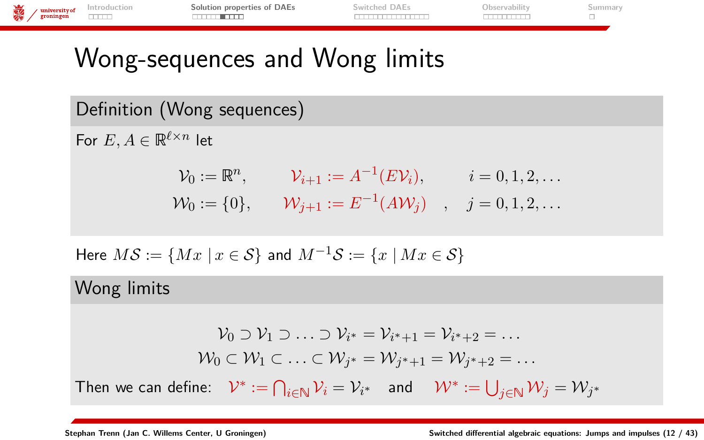| $\frac{1}{\sqrt{2}}$ university of | Introduction | Solution properties of DAEs | Switched DAEs | Observability | summar |
|------------------------------------|--------------|-----------------------------|---------------|---------------|--------|
|                                    | <b>THEFT</b> | ________                    | .             |               |        |
|                                    |              |                             |               |               |        |

# <span id="page-12-0"></span>Wong-sequences and Wong limits

Definition (Wong sequences)

For  $E, A \in \mathbb{R}^{\ell \times n}$  let

$$
\mathcal{V}_0 := \mathbb{R}^n, \qquad \mathcal{V}_{i+1} := A^{-1}(E\mathcal{V}_i), \qquad i = 0, 1, 2, \dots
$$
  

$$
\mathcal{W}_0 := \{0\}, \qquad \mathcal{W}_{j+1} := E^{-1}(A\mathcal{W}_j) \quad , \quad j = 0, 1, 2, \dots
$$

Here 
$$
MS := \{ Mx \mid x \in S \}
$$
 and  $M^{-1}S := \{ x \mid Mx \in S \}$ 

### Wong limits

$$
\mathcal{V}_0 \supset \mathcal{V}_1 \supset \ldots \supset \mathcal{V}_{i^*} = \mathcal{V}_{i^*+1} = \mathcal{V}_{i^*+2} = \ldots
$$

$$
\mathcal{W}_0 \subset \mathcal{W}_1 \subset \ldots \subset \mathcal{W}_{j^*} = \mathcal{W}_{j^*+1} = \mathcal{W}_{j^*+2} = \ldots
$$
Then we can define: 
$$
\mathcal{V}^* := \bigcap_{i \in \mathbb{N}} \mathcal{V}_i = \mathcal{V}_{i^*} \quad \text{and} \quad \mathcal{W}^* := \bigcup_{j \in \mathbb{N}} \mathcal{W}_j = \mathcal{W}_{j^*}
$$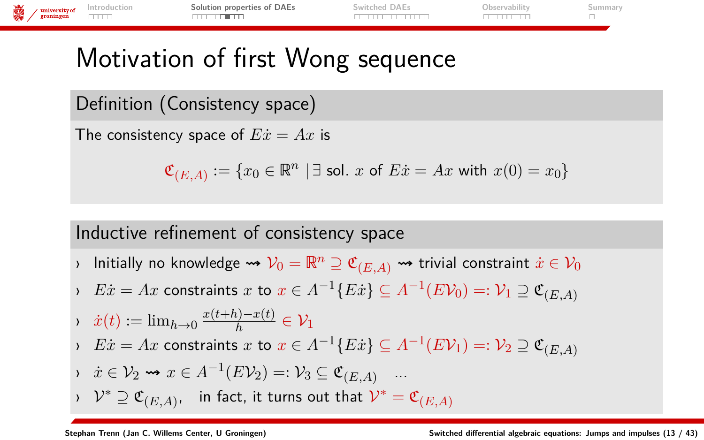| with the example of the example of the example of the set of the set of the set of the set of the set of the set of the set of the set of the set of the set of the set of the set of the set of the set of the set of the set | Solution properties of DAEs | Switched DAEs | Observability | Summarv |
|--------------------------------------------------------------------------------------------------------------------------------------------------------------------------------------------------------------------------------|-----------------------------|---------------|---------------|---------|
|                                                                                                                                                                                                                                | . <del>.</del>              | ___________   |               |         |
|                                                                                                                                                                                                                                |                             |               |               |         |

# Motivation of first Wong sequence

Definition (Consistency space)

The consistency space of  $E\dot{x} = Ax$  is

$$
\mathfrak{C}_{(E,A)} := \{ x_0 \in \mathbb{R}^n \mid \exists \text{ sol. } x \text{ of } E\dot{x} = Ax \text{ with } x(0) = x_0 \}
$$

### Inductive refinement of consistency space

- $\flat$  Initially no knowledge  $\leadsto \mathcal{V}_0=\mathbb{R}^n\supseteq \mathfrak{C}_{(E,A)}$   $\leadsto$  trivial constraint  $\dot{x}\in \mathcal{V}_0$
- *v*  $E\dot{x} = Ax$  constraints  $x$  to  $x \in A^{-1}\{E\dot{x}\} ⊆ A^{-1}(EV_0) =: V_1 ⊇ \mathfrak{C}_{(E,A)}$

$$
\therefore \quad \dot{x}(t) := \lim_{h \to 0} \frac{x(t+h) - x(t)}{h} \in \mathcal{V}_1
$$
\n
$$
\therefore \quad F_{\dot{x}} = A x \text{ constraints, at } x \in A^{-1}(F_{\dot{x}}) \subset A^{-1}(F_{\dot{x}}), \quad x \to 0.
$$

$$
\therefore \quad E\dot{x} = Ax \text{ constraints } x \text{ to } x \in A^{-1}\{E\dot{x}\} \subseteq A^{-1}(E\mathcal{V}_1) =: \mathcal{V}_2 \supseteq \mathfrak{C}_{(E,A)}
$$

$$
\Rightarrow \quad \dot{x} \in \mathcal{V}_2 \rightsquigarrow x \in A^{-1}(E\mathcal{V}_2) =: \mathcal{V}_3 \subseteq \mathfrak{C}_{(E,A)} \quad \dots
$$

$$
\rightarrow \ \mathcal{V}^* \supseteq \mathfrak{C}_{(E,A)}, \quad \text{in fact, it turns out that} \ \mathcal{V}^* = \mathfrak{C}_{(E,A)}
$$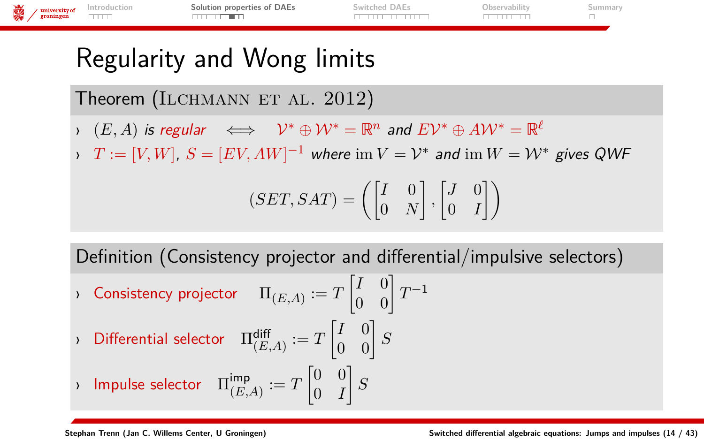| 義 | $\sqrt{\frac{\text{university of}}{\text{groningen}}}.$ | Introduction<br>سسد | Solution properties of DAEs | Switched DAEs | Observability |  |
|---|---------------------------------------------------------|---------------------|-----------------------------|---------------|---------------|--|
|   |                                                         |                     |                             |               |               |  |
|   |                                                         |                     |                             |               |               |  |

# Regularity and Wong limits

Theorem (ILCHMANN ET AL.  $2012$ )

- $\mathcal{V}^*$  ⊕  $\mathcal{W}^* = \mathbb{R}^n$  and  $E \mathcal{V}^* \oplus A \mathcal{W}^* = \mathbb{R}^{\ell^2}$
- $\varphi$  *T* :=  $[V,W]$ ,  $S = [EV, AW]^{-1}$  where  $\operatorname{im} V = \mathcal{V}^*$  and  $\operatorname{im} W = \mathcal{W}^*$  gives QWF

$$
(SET, SAT) = \left( \begin{bmatrix} I & 0 \\ 0 & N \end{bmatrix}, \begin{bmatrix} J & 0 \\ 0 & I \end{bmatrix} \right)
$$

Definition (Consistency projector and differential/impulsive selectors)

- $\alpha$  Consistency projector  $\qquad \Pi_{(E,A)} := T \begin{bmatrix} I & 0 \ 0 & 0 \end{bmatrix} T^{-1}$ › Differential selector  $\begin{bmatrix} \Pi^{\mathsf{diff}}_{(E,A)}:=T \begin{bmatrix} I & 0 \ 0 & 0 \end{bmatrix} S$
- $\rightarrow$  Impulse selector  $\ \Pi_{\ell F}^{\text{imp}}$  $\lim_{(E,A)} := T \begin{bmatrix} 0 & 0 \ 0 & I \end{bmatrix}$ 0 *I*  $\big]$   $S$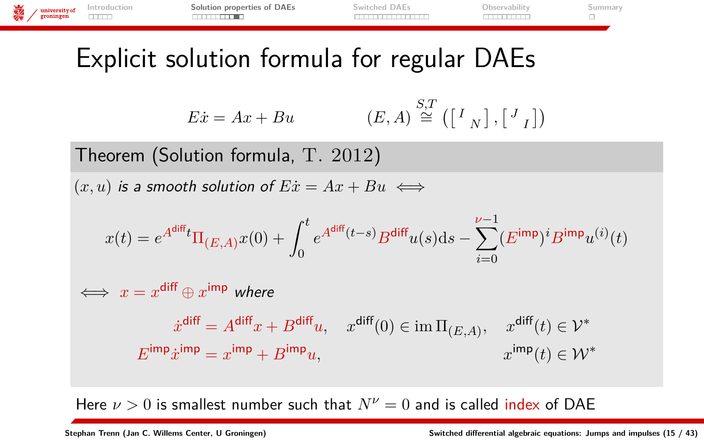

Here  $\nu > 0$  is smallest number such that  $N^{\nu} = 0$  and is called index of DAE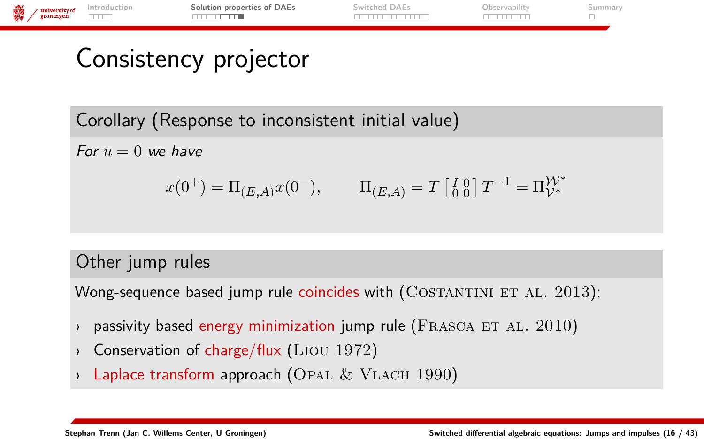

# Consistency projector

Corollary (Response to inconsistent initial value)

For  $u = 0$  we have

$$
x(0^+) = \Pi_{(E,A)} x(0^-),
$$
  $\Pi_{(E,A)} = T \begin{bmatrix} I & 0 \\ 0 & 0 \end{bmatrix} T^{-1} = \Pi_{\mathcal{V}^*}^{\mathcal{W}^*}$ 

### Other jump rules

Wong-sequence based jump rule coincides with  $(CosTANTINI ET AL. 2013)$ :

- passivity based energy minimization jump rule (FRASCA ET AL.  $2010$ )
- Conservation of charge/flux ( $\text{Liou } 1972$ )
- Laplace transform approach (OPAL  $&$  VLACH 1990)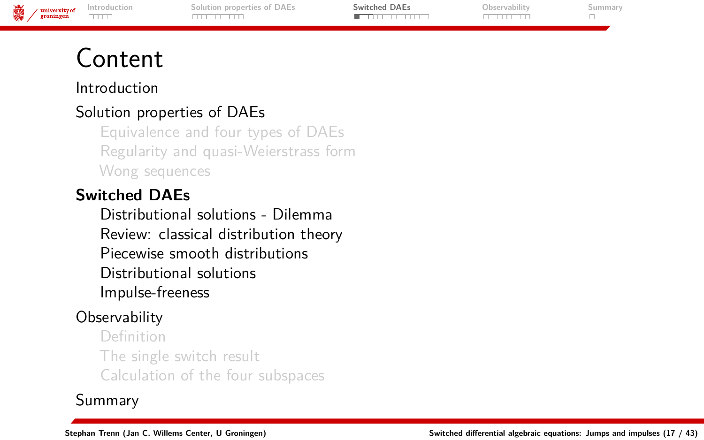| <b>Suba</b><br>$-$ | university of | Introduction             | iolution properties of DAEs | $13\Delta$ Fs | . | ımmar |
|--------------------|---------------|--------------------------|-----------------------------|---------------|---|-------|
|                    |               | $\overline{\phantom{a}}$ |                             |               |   |       |
|                    |               |                          |                             |               |   |       |

# <span id="page-17-0"></span>Content

[Introduction](#page-1-0)

### [Solution properties of DAEs](#page-6-0)

[Equivalence and four types of DAEs](#page-7-0) [Regularity and quasi-Weierstrass form](#page-10-0) [Wong sequences](#page-12-0)

#### **[Switched DAEs](#page-17-0)**

[Distributional solutions - Dilemma](#page-23-0) [Review: classical distribution theory](#page-25-0) [Piecewise smooth distributions](#page-29-0) [Distributional solutions](#page-31-0) [Impulse-freeness](#page-34-0)

### **[Observability](#page-36-0)**

[Definition](#page-37-0) [The single switch result](#page-39-0) [Calculation of the four subspaces](#page-41-0)

### [Summary](#page-46-0)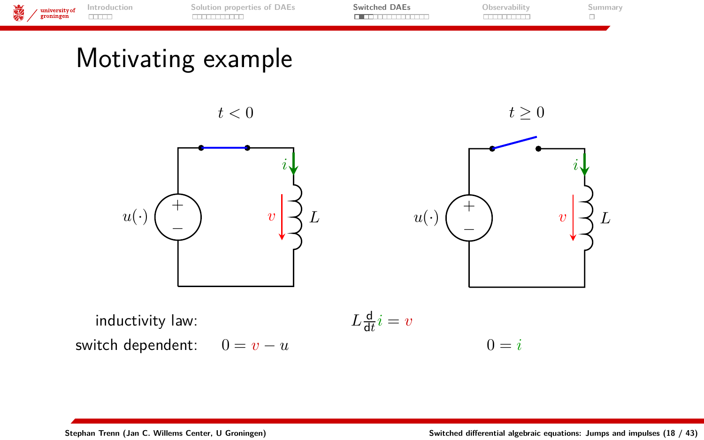

### Motivating example

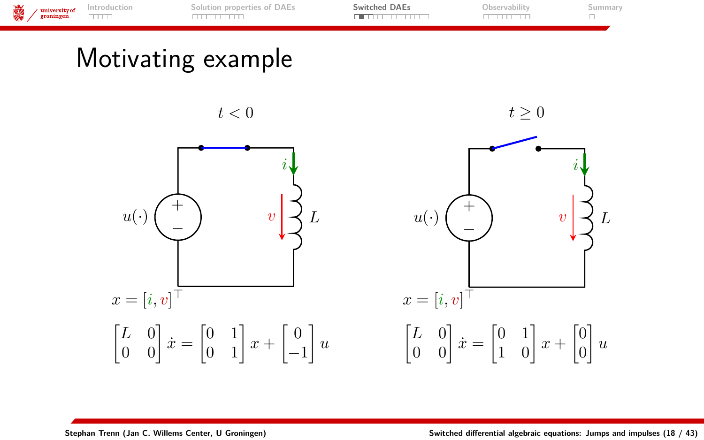

### Motivating example

 $t<0$ 





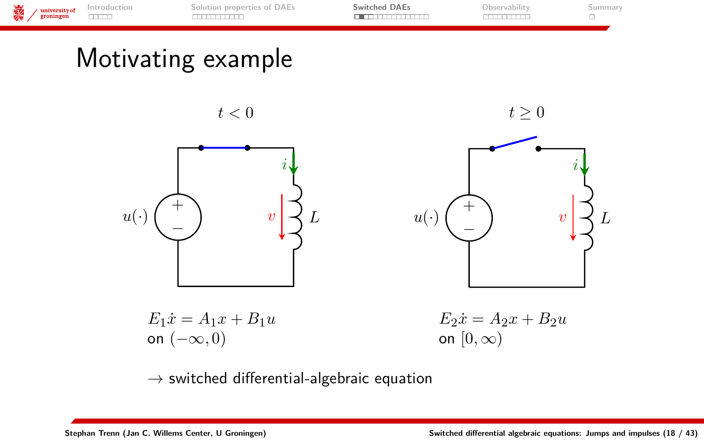

 $E_1 \dot{x} = A_1 x + B_1 u$ on (−∞*,* 0)  $E_2 \dot{x} = A_2 x + B_2 u$ on  $[0, \infty)$ 

 $\rightarrow$  switched differential-algebraic equation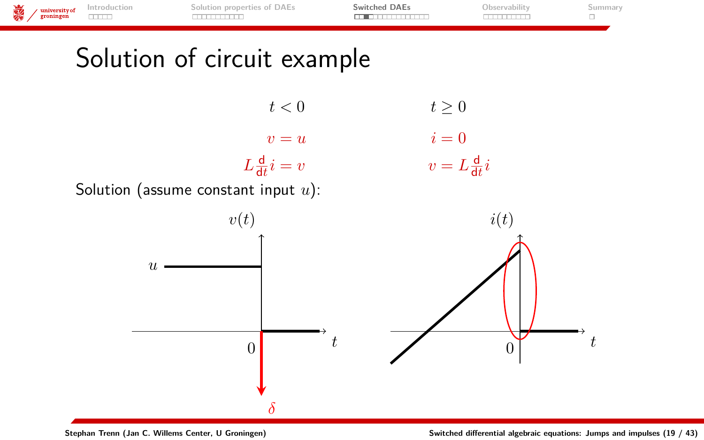

**Stephan Trenn (Jan C. Willems Center, U Groningen) [Switched differential algebraic equations: Jumps and impulses](#page-0-0) (19 / 43)**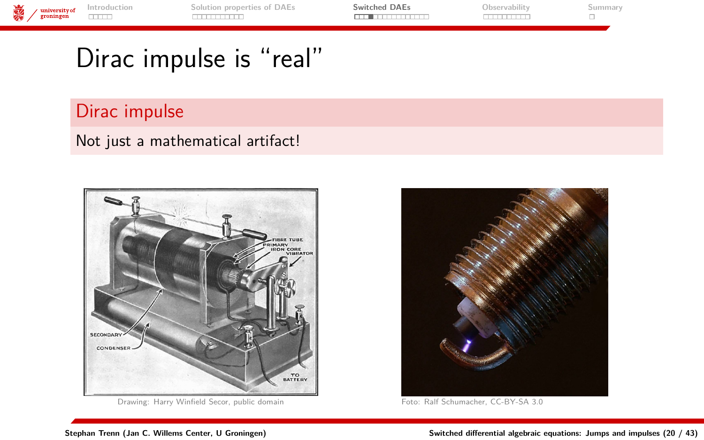

# Dirac impulse is "real"

### Dirac impulse

#### Not just a mathematical artifact!



Drawing: Harry Winfield Secor, [public domain](http://commons.wikimedia.org/wiki/File:Induction_coil_cutaway.jpg) Foto: [Ralf Schumacher,](http://commons.wikimedia.org/wiki/File:Spark-plug01.jpeg) [CC-BY-SA 3.0](http://creativecommons.org/licenses/by-sa/3.0/)

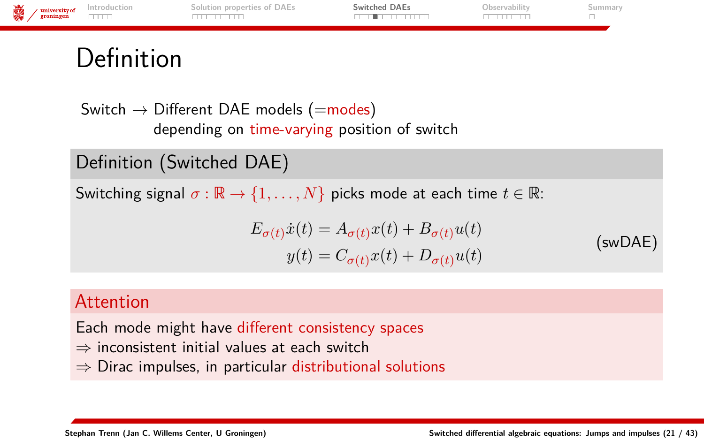<span id="page-23-0"></span>

Switch  $\rightarrow$  Different DAE models (=modes) depending on time-varying position of switch

Definition (Switched DAE)

Switching signal  $\sigma : \mathbb{R} \to \{1, ..., N\}$  picks mode at each time  $t \in \mathbb{R}$ :

$$
E_{\sigma(t)}\dot{x}(t) = A_{\sigma(t)}x(t) + B_{\sigma(t)}u(t)
$$
  
\n
$$
y(t) = C_{\sigma(t)}x(t) + D_{\sigma(t)}u(t)
$$
 (swDAE)

#### Attention

Each mode might have different consistency spaces

- ⇒ inconsistent initial values at each switch
- ⇒ Dirac impulses, in particular distributional solutions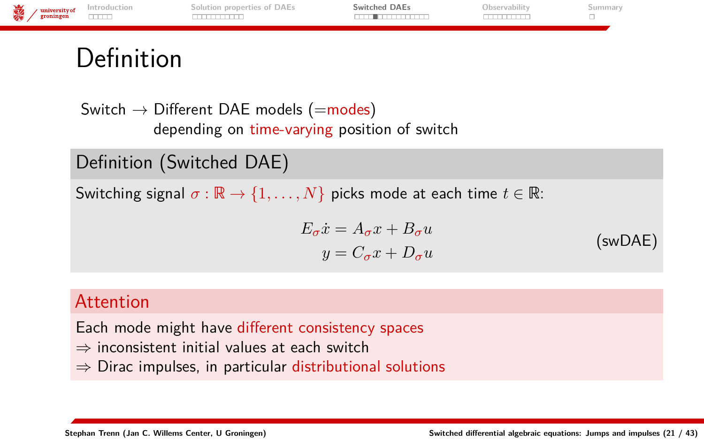

### Definition

Switch  $\rightarrow$  Different DAE models (=modes) depending on time-varying position of switch

Definition (Switched DAE)

Switching signal  $\sigma : \mathbb{R} \to \{1, ..., N\}$  picks mode at each time  $t \in \mathbb{R}$ :

 $E_{\sigma}\dot{x} = A_{\sigma}x + B_{\sigma}u$  $y = C_{\sigma}x + D_{\sigma}u$ (swDAE)

#### Attention

Each mode might have different consistency spaces

- $\Rightarrow$  inconsistent initial values at each switch
- ⇒ Dirac impulses, in particular distributional solutions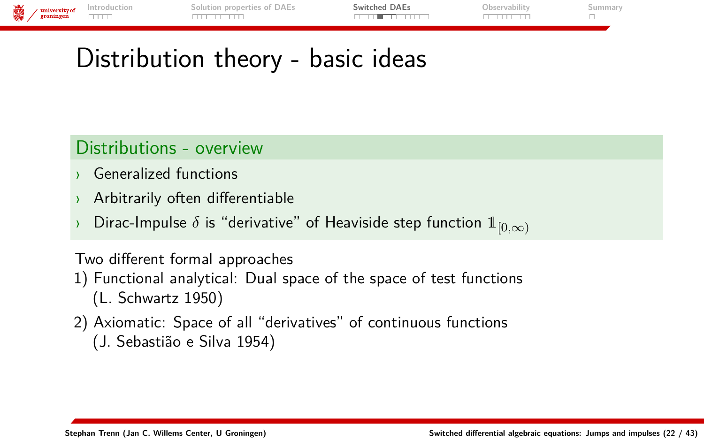| o.e.<br>v<br>ю. | / university of | Introduction    | Solution properties of DAEs | Switched DAEs                | Observability | aummary |
|-----------------|-----------------|-----------------|-----------------------------|------------------------------|---------------|---------|
|                 | groningen       | <b>HERE AND</b> |                             | _______ <del>___</del> _____ |               |         |
|                 |                 |                 |                             |                              |               |         |

# <span id="page-25-0"></span>Distribution theory - basic ideas

### Distributions - overview

- **Generalized functions**
- › Arbitrarily often differentiable
- Dirac-Impulse  $\delta$  is "derivative" of Heaviside step function  $1_{[0,\infty)}$

#### Two different formal approaches

- 1) Functional analytical: Dual space of the space of test functions (L. Schwartz 1950)
- 2) Axiomatic: Space of all "derivatives" of continuous functions (J. Sebastião e Silva 1954)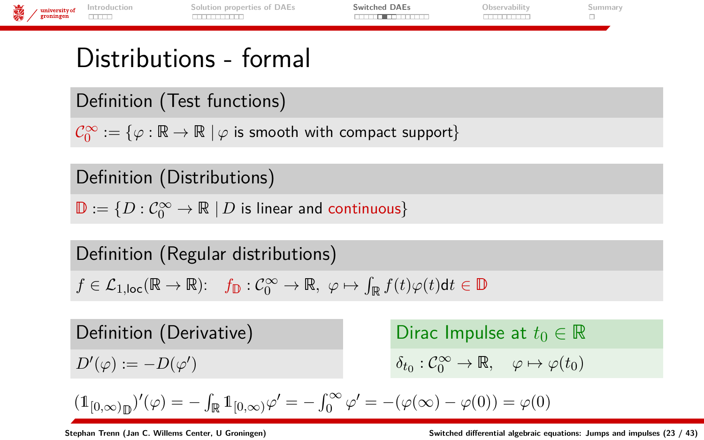

### Distributions - formal

Definition (Test functions)

 $\mathcal{C}_0^\infty:=\{\varphi:\mathbb{R}\to\mathbb{R}\mid \varphi \,\,\text{is smooth with compact support}\}$ 

Definition (Distributions)

 $\mathbb{D}:=\{D:\mathcal{C}_0^\infty\to\mathbb{R}\ | \, D \text{ is linear and continuous}\}$ 

Definition (Regular distributions)

 $f \in \mathcal{L}_{1, \text{loc}}(\mathbb{R} \to \mathbb{R})$ :  $f_{\mathbb{D}} : C_0^{\infty} \to \mathbb{R}, \varphi \mapsto \int_{\mathbb{R}} f(t) \varphi(t) dt \in \mathbb{D}$ 

Definition (Derivative)  $D'(\varphi) := -D(\varphi')$ 

Dirac Impulse at  $t_0 \in \mathbb{R}$  $\delta_{t_0}: C_0^{\infty} \to \mathbb{R}, \quad \varphi \mapsto \varphi(t_0)$ 

$$
(\mathbb{1}_{[0,\infty)_\mathbb{D}})'(\varphi)=-\int_\mathbb{R} \mathbb{1}_{[0,\infty)}\varphi'=-\int_0^\infty \varphi'=- (\varphi(\infty)-\varphi(0))=\varphi(0)
$$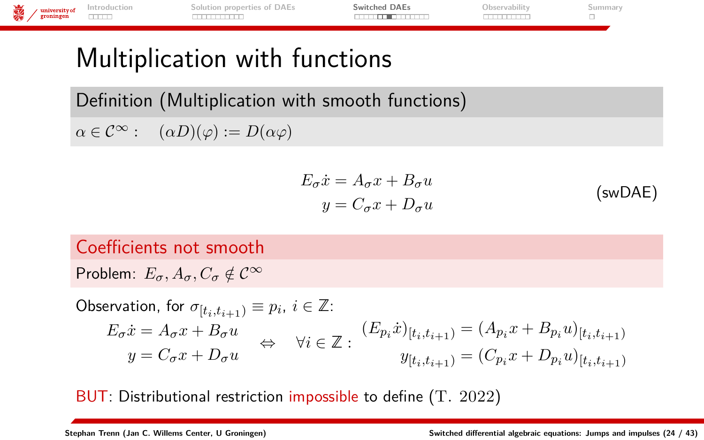**[Introduction](#page-1-0) [Solution properties of DAEs](#page-6-0) [Switched DAEs](#page-17-0) [Observability](#page-36-0) [Summary](#page-46-0)** university of<br>groningen mm <u>mmmmm</u> **TUTTUTTI**  $\Box$ 

# Multiplication with functions

Definition (Multiplication with smooth functions)  $\alpha \in \mathcal{C}^{\infty}$ :  $(\alpha D)(\varphi) := D(\alpha \varphi)$ 

$$
E_{\sigma}\dot{x} = A_{\sigma}x + B_{\sigma}u
$$
  
\n
$$
y = C_{\sigma}x + D_{\sigma}u
$$
 (swDAE)

### Coefficients not smooth

Problem:  $E_{\sigma}$ ,  $A_{\sigma}$ ,  $C_{\sigma} \notin \mathcal{C}^{\infty}$ 

$$
\begin{aligned} \text{Observation, for } & \sigma_{[t_i, t_{i+1})} \equiv p_i, \, i \in \mathbb{Z}: \\ & E_{\sigma} \dot{x} = A_{\sigma} x + B_{\sigma} u & \Leftrightarrow \quad \forall i \in \mathbb{Z}: \\ & y = C_{\sigma} x + D_{\sigma} u & \Leftrightarrow \quad \forall i \in \mathbb{Z}: \\ \end{aligned} \quad \begin{aligned} (E_{p_i} \dot{x})_{[t_i, t_{i+1})} & = (A_{p_i} x + B_{p_i} u)_{[t_i, t_{i+1})} \\ & = (C_{p_i} x + D_{p_i} u)_{[t_i, t_{i+1})} \end{aligned}
$$

BUT: Distributional restriction impossible to define (T. 2022)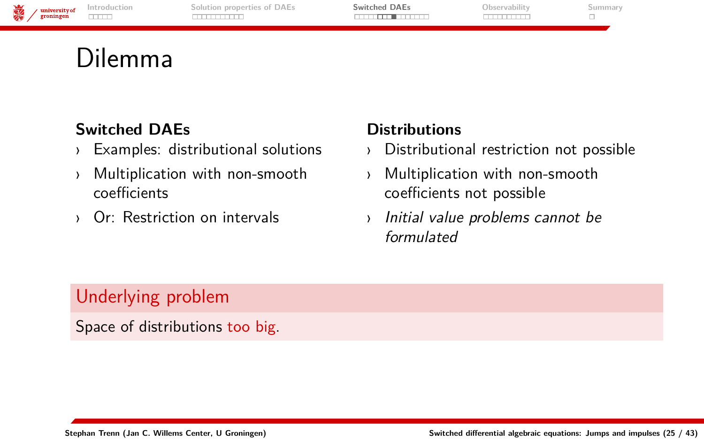| 湯 | university of<br>groningen | Introduction<br>THE | Solution properties of DAEs | <b>Switched DAEs</b> | bservabilit(ا | aummar <sup>.</sup> |
|---|----------------------------|---------------------|-----------------------------|----------------------|---------------|---------------------|
|   |                            |                     |                             |                      |               |                     |

### Dilemma

#### **Switched DAEs**

- › Examples: distributional solutions
- › Multiplication with non-smooth coefficients
- › Or: Restriction on intervals

### **Distributions**

- › Distributional restriction not possible
- › Multiplication with non-smooth coefficients not possible
- Initial value problems cannot be formulated

### Underlying problem

Space of distributions too big.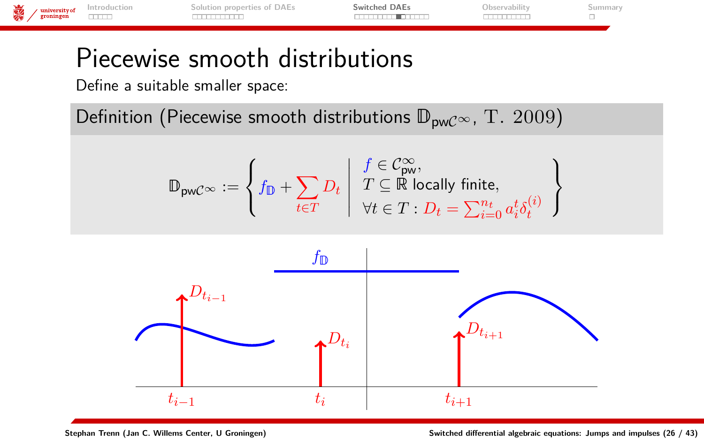

### <span id="page-29-0"></span>Piecewise smooth distributions

Define a suitable smaller space:

Definition (Piecewise smooth distributions  $\mathbb{D}_{pwC^{\infty}}$ , T. 2009)

$$
\mathbb{D}_{\mathrm{pw}\mathcal{C}^\infty}:=\left\{f_{\mathbb{D}}+\sum_{t\in T}D_t\;\middle|\; \begin{array}{l}f\in\mathcal{C}^\infty_{\mathrm{pw}},\\ T\subseteq\mathbb{R}\;\text{locally finite},\\ \forall t\in T:D_t=\sum_{i=0}^{n_t}a^t_i\delta^{(i)}_t\end{array}\right.
$$



 $\mathcal{L}$  $\mathcal{L}$ J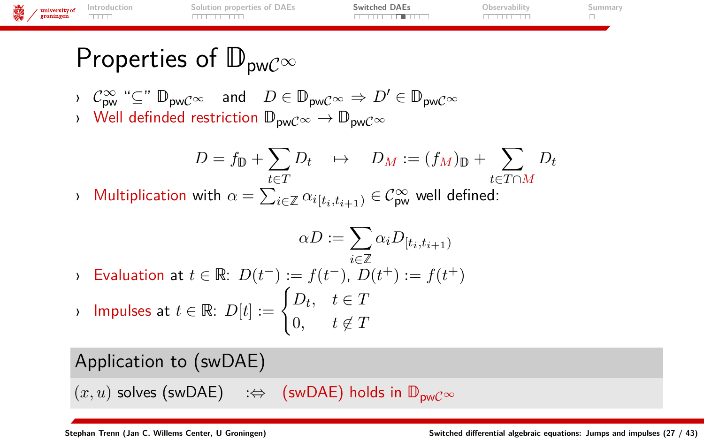|   | $\frac{1}{2}$ university of groningen | Introduction | lution properties of DAEs | Switched DAEs | Observability | wummary - |
|---|---------------------------------------|--------------|---------------------------|---------------|---------------|-----------|
| 高 |                                       | <b>THEFT</b> |                           |               |               |           |
|   |                                       |              |                           |               |               |           |

# Properties of  $\mathbb{D}_{\text{pwC}} \infty$

$$
C^{\infty}_{\text{pw}} \stackrel{\text{def}}{=} \mathbb{D}_{\text{pw}} \mathbb{C}^{\infty} \quad \text{and} \quad D \in \mathbb{D}_{\text{pw}} \mathbb{C}^{\infty} \Rightarrow D' \in \mathbb{D}_{\text{pw}} \mathbb{C}^{\infty}
$$

> Well definded restriction  $\mathbb{D}_{\text{pw}}C^{\infty} \to \mathbb{D}_{\text{pw}}C^{\infty}$ 

$$
D = f_{\mathbb{D}} + \sum_{t \in T} D_t \quad \mapsto \quad D_M := (f_M)_{\mathbb{D}} + \sum_{t \in T \cap M} D_t
$$

 $\alpha$  Multiplication with  $\alpha = \sum_{i \in \mathbb{Z}} \alpha_{i[t_i, t_{i+1})} \in \mathcal{C}^{\infty}_{\textsf{pw}}$  well defined:

$$
\alpha D := \sum_{i \in \mathbb{Z}} \alpha_i D_{[t_i, t_{i+1})}
$$
  
\n
$$
\text{Evaluation at } t \in \mathbb{R}: D(t^-) := f(t^-), D(t^+) := f(t^+)
$$
  
\n
$$
\text{Impulses at } t \in \mathbb{R}: D[t] := \begin{cases} D_t, & t \in T \\ 0, & t \notin T \end{cases}
$$

Application to (swDAE)

 $(x, u)$  solves (swDAE) :⇔ (swDAE) holds in  $\mathbb{D}_{\text{pwc}}$   $\infty$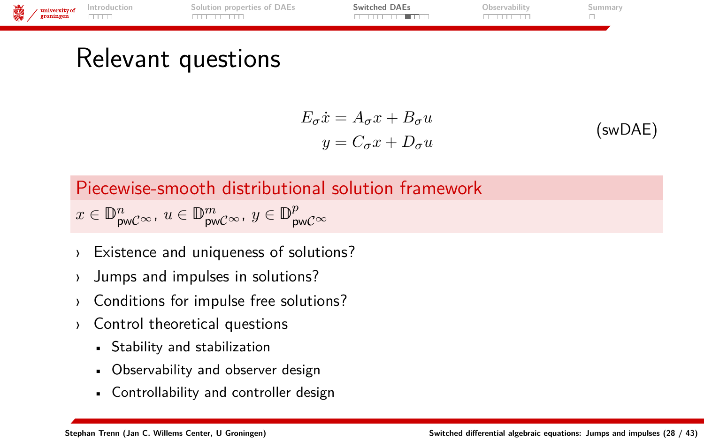<span id="page-31-0"></span>

$$
E_{\sigma}\dot{x} = A_{\sigma}x + B_{\sigma}u
$$
  
\n
$$
y = C_{\sigma}x + D_{\sigma}u
$$
 (swDAE)

Piecewise-smooth distributional solution framework

$$
x\in\mathbb{D}^n_{\mathsf{pw}\mathcal{C}^\infty},\, u\in\mathbb{D}^m_{\mathsf{pw}\mathcal{C}^\infty},\, y\in\mathbb{D}^p_{\mathsf{pw}\mathcal{C}^\infty}
$$

- Existence and uniqueness of solutions?
- › Jumps and impulses in solutions?
- › Conditions for impulse free solutions?
- › Control theoretical questions
	- Stability and stabilization
	- Observability and observer design
	- Controllability and controller design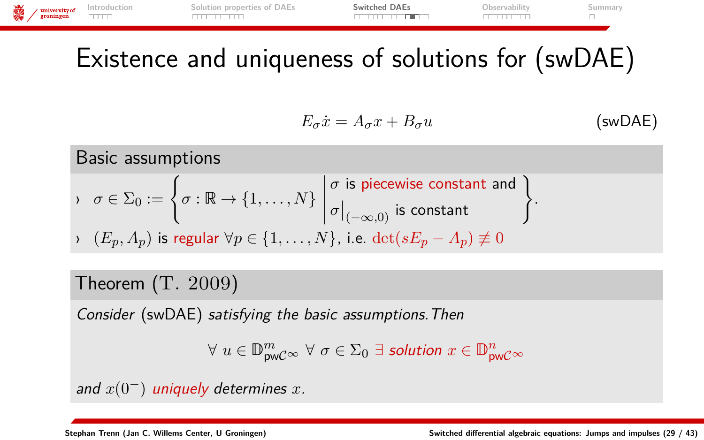

### Existence and uniqueness of solutions for (swDAE)

$$
E_{\sigma}\dot{x} = A_{\sigma}x + B_{\sigma}u \qquad \qquad \text{(swDAE)}
$$

Basic assumptions

\n
$$
\sigma \in \Sigma_0 := \left\{ \sigma : \mathbb{R} \to \{1, \ldots, N\} \, \middle| \, \begin{aligned} \sigma & \text{is piecewise constant and} \\ \sigma \mid_{(-\infty, 0)} & \text{is constant} \end{aligned} \right\}.
$$
\n
$$
\left\{ \begin{aligned} E_p, A_p \text{ is regular } \forall p \in \{1, \ldots, N\}, \text{ i.e. } \det(sE_p - A_p) \neq 0 \end{aligned} \right\}.
$$

### Theorem (T. 2009)

Consider (swDAE) satisfying the basic assumptions.Then

$$
\forall u \in \mathbb{D}_{\text{pwC}}^m \sim \forall \sigma \in \Sigma_0 \ \exists \ \text{solution } x \in \mathbb{D}_{\text{pwC}}^n \sim
$$

and *x*(0−) uniquely determines *x*.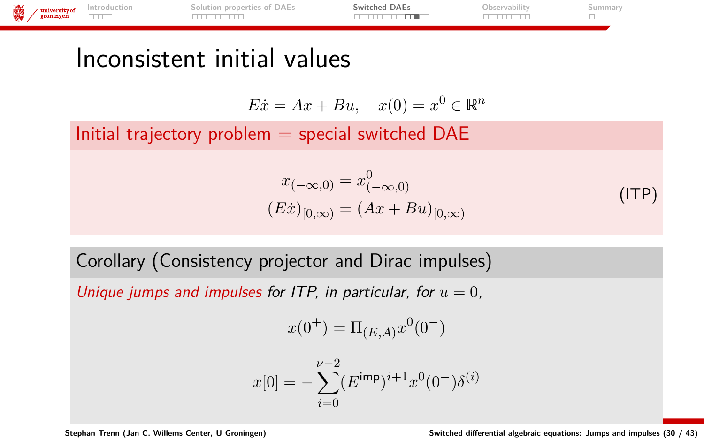

### Inconsistent initial values

$$
E\dot{x} = Ax + Bu, \quad x(0) = x^0 \in \mathbb{R}^n
$$

Initial trajectory problem  $=$  special switched DAE

$$
x_{(-\infty,0)} = x_{(-\infty,0)}^0
$$
  
(Ex)<sub>[0,\infty)</sub> =  $(Ax + Bu)_{[0,\infty)}$  (ITP)

Corollary (Consistency projector and Dirac impulses)

Unique jumps and impulses for ITP, in particular, for  $u = 0$ ,

$$
x(0^+)=\Pi_{(E,A)}x^0(0^-)
$$

$$
x[0] = -\sum_{i=0}^{\nu-2} (E^{imp})^{i+1} x^{0} (0^{-}) \delta^{(i)}
$$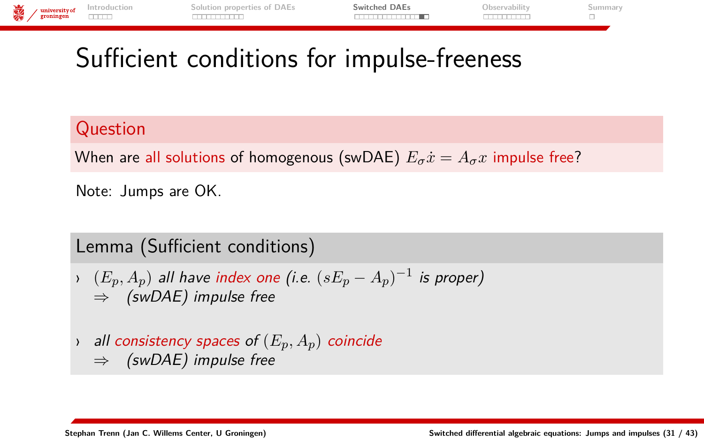

# <span id="page-34-0"></span>Sufficient conditions for impulse-freeness

### Question

When are all solutions of homogenous (swDAE)  $E_{\sigma} \dot{x} = A_{\sigma} x$  impulse free?

Note: Jumps are OK.

Lemma (Sufficient conditions)

- $\rightarrow$   $(E_p, A_p)$  all have index one (i.e.  $(sE_p A_p)^{-1}$  is proper)  $\Rightarrow$  (swDAE) impulse free
- › all consistency spaces of (*Ep, Ap*) coincide  $\Rightarrow$  (swDAE) impulse free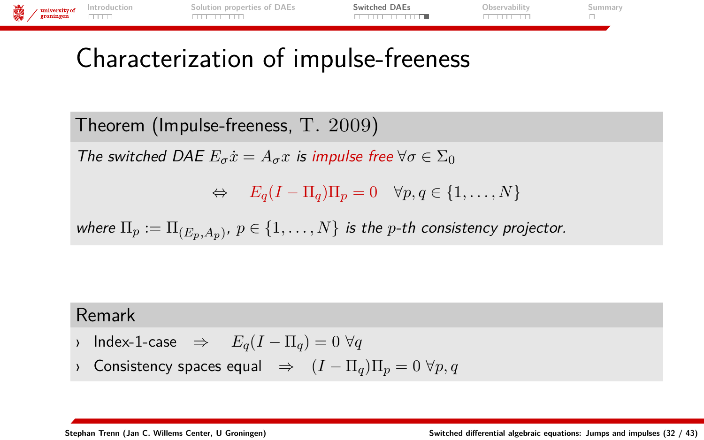

### Characterization of impulse-freeness

Theorem (Impulse-freeness, T. 2009)

The switched DAE  $E_{\sigma}\dot{x} = A_{\sigma}x$  is impulse free  $\forall \sigma \in \Sigma_0$ 

 $\Leftrightarrow$   $E_q(I - \Pi_q)\Pi_q = 0 \quad \forall p, q \in \{1, \dots, N\}$ 

where  $\Pi_p:=\Pi_{(E_p,A_p)},\ p\in\{1,\ldots,N\}$  is the  $p$ -th consistency projector.

#### Remark

- › Index-1-case ⇒ *Eq*(*I* − Π*q*) = 0 ∀*q*
- › Consistency spaces equal ⇒ (*I* − Π*q*)Π*<sup>p</sup>* = 0 ∀*p, q*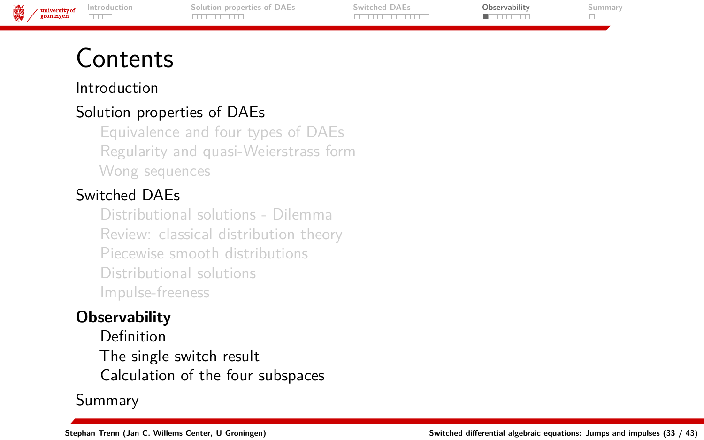

### <span id="page-36-0"></span>Contents

#### [Introduction](#page-1-0)

### [Solution properties of DAEs](#page-6-0)

[Equivalence and four types of DAEs](#page-7-0) [Regularity and quasi-Weierstrass form](#page-10-0) [Wong sequences](#page-12-0)

### [Switched DAEs](#page-17-0)

[Distributional solutions - Dilemma](#page-23-0) [Review: classical distribution theory](#page-25-0) [Piecewise smooth distributions](#page-29-0) [Distributional solutions](#page-31-0) [Impulse-freeness](#page-34-0)

### **[Observability](#page-36-0)**

[Definition](#page-37-0) [The single switch result](#page-39-0) [Calculation of the four subspaces](#page-41-0)

[Summary](#page-46-0)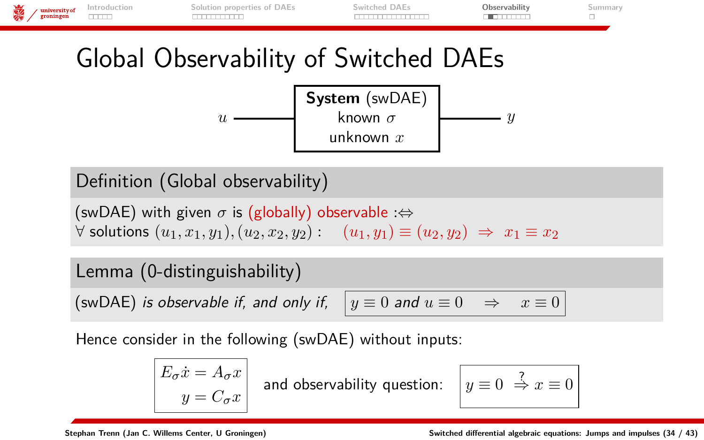<span id="page-37-0"></span>

Definition (Global observability)

(swDAE) with given  $\sigma$  is (globally) observable : $\Leftrightarrow$ ∀ solutions (*u*1*, x*1*, y*1)*,*(*u*2*, x*2*, y*2) : (*u*1*, y*1) ≡ (*u*2*, y*2) ⇒ *x*<sup>1</sup> ≡ *x*<sup>2</sup>

#### Lemma (0-distinguishability)

(swDAE) *is observable if, and only if,* 

$$
y \equiv 0 \text{ and } u \equiv 0 \Rightarrow x \equiv 0
$$

Hence consider in the following (swDAE) without inputs:

$$
\begin{vmatrix} E_{\sigma} \dot{x} = A_{\sigma} x \\ y = C_{\sigma} x \end{vmatrix}
$$
 and observability question:  $y \equiv 0 \Rightarrow x \equiv 0$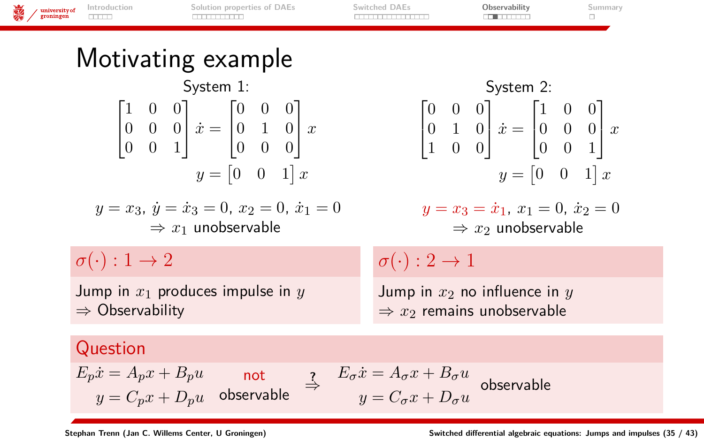| 露<br>university of<br>groningen | Introduction<br><b>CONTRACT</b> | Solution properties of DAEs<br><b>BULGARIA DE LA P</b>                                                                                                                                                                                                                                                        | Switched DAEs<br>_________ | Observability<br>an an an an                                                                                                                                                                                                                                                              | Summary<br>□ |
|---------------------------------|---------------------------------|---------------------------------------------------------------------------------------------------------------------------------------------------------------------------------------------------------------------------------------------------------------------------------------------------------------|----------------------------|-------------------------------------------------------------------------------------------------------------------------------------------------------------------------------------------------------------------------------------------------------------------------------------------|--------------|
|                                 |                                 | Motivating example                                                                                                                                                                                                                                                                                            |                            |                                                                                                                                                                                                                                                                                           |              |
|                                 |                                 | System 1:                                                                                                                                                                                                                                                                                                     |                            | System 2:                                                                                                                                                                                                                                                                                 |              |
|                                 |                                 | $\begin{bmatrix} 1 & 0 & 0 \\ 0 & 0 & 0 \\ 0 & 0 & 1 \end{bmatrix} \dot{x} = \begin{bmatrix} 0 & 0 & 0 \\ 0 & 1 & 0 \\ 0 & 0 & 0 \end{bmatrix} x$<br>$y = \begin{bmatrix} 0 & 0 & 1 \end{bmatrix} x$<br>$y = x_3, \, \dot{y} = \dot{x}_3 = 0, \, x_2 = 0, \, \dot{x}_1 = 0$<br>$\Rightarrow x_1$ unobservable |                            | $\begin{bmatrix} 0 & 0 & 0 \\ 0 & 1 & 0 \\ 1 & 0 & 0 \end{bmatrix}$ $\dot{x} = \begin{bmatrix} 1 & 0 & 0 \\ 0 & 0 & 0 \\ 0 & 0 & 1 \end{bmatrix} x$<br>$y = \begin{bmatrix} 0 & 0 & 1 \end{bmatrix} x$<br>$y = x_3 = \dot{x}_1, x_1 = 0, \dot{x}_2 = 0$<br>$\Rightarrow x_2$ unobservable |              |
|                                 | $\sigma(\cdot): 1 \to 2$        |                                                                                                                                                                                                                                                                                                               | $\sigma(\cdot): 2 \to 1$   |                                                                                                                                                                                                                                                                                           |              |
|                                 | $\Rightarrow$ Observability     | Jump in $x_1$ produces impulse in $y$                                                                                                                                                                                                                                                                         |                            | Jump in $x_2$ no influence in $y$<br>$\Rightarrow x_2$ remains unobservable                                                                                                                                                                                                               |              |
|                                 | Question                        |                                                                                                                                                                                                                                                                                                               |                            |                                                                                                                                                                                                                                                                                           |              |

 $E_p \dot{x} = A_p x + B_p u$  $y = C_p x + D_p u$ not observable  $\Rightarrow$   $E_{\sigma}\dot{x} = A_{\sigma}x + B_{\sigma}u$  $y = C_{\sigma}x + D_{\sigma}u$  observable

÷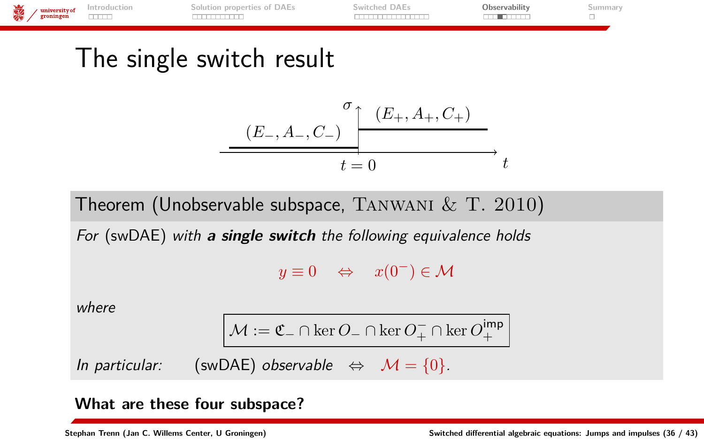

### <span id="page-39-0"></span>The single switch result

$$
\xrightarrow{\sigma} \frac{(E_-, A_-, C_-)}{t = 0} \rightarrow t
$$

Theorem (Unobservable subspace, TANWANI  $\&$  T. 2010)

For (swDAE) with **a single switch** the following equivalence holds

 $y \equiv 0 \Leftrightarrow x(0^-) \in \mathcal{M}$ 

where

$$
\mathcal{M}:=\mathfrak{C}_{-}\cap\ker O_{-}\cap\ker O_{+}^{-}\cap\ker O_{+}^{imp}
$$

In particular: (swDAE) observable  $\Leftrightarrow M = \{0\}.$ 

#### **What are these four subspace?**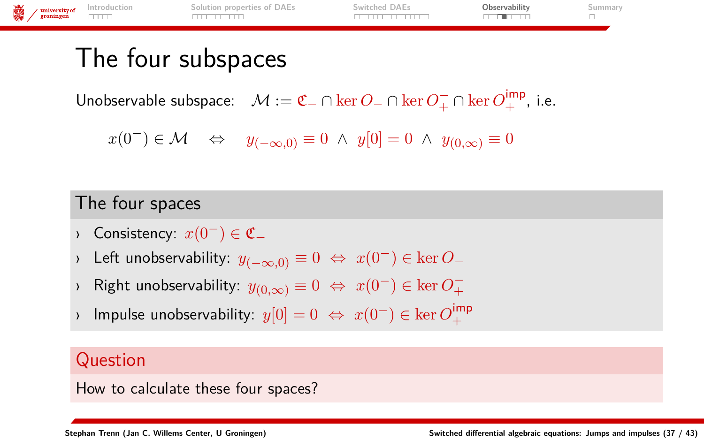

### The four subspaces

Unobservable subspace:  $\mathcal{M} := \mathfrak{C}_- \cap \ker O_-^- \cap \ker O_+^- \cap \ker O_+^{\text{imp}}$ , i.e.

 $x(0^-) \in \mathcal{M} \Leftrightarrow y_{(-\infty,0)} \equiv 0 \land y[0] = 0 \land y_{(0,\infty)} \equiv 0$ 

### The four spaces

- Consistency:  $x(0^-) \in \mathfrak{C}_-$
- › Left unobservability: *y*(−∞*,*0) ≡ 0 ⇔ *x*(0−) ∈ ker *O*<sup>−</sup>
- $\triangleright$  Right unobservability:  $y_{(0,\infty)} \equiv 0 \iff x(0^-) \in \ker O_+^{\perp}$
- $\rightarrow$  Impulse unobservability:  $y[0] = 0 \Leftrightarrow x(0^-) \in \ker O_+^{\text{imp}}$

### Question

How to calculate these four spaces?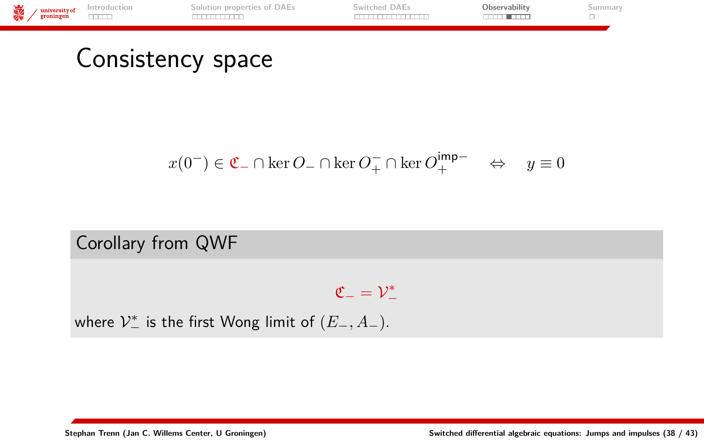

<span id="page-41-0"></span>Consistency space

$$
x(0^-) \in \mathfrak{C}_- \cap \ker O_- \cap \ker O_+^- \cap \ker O_+^{\mathsf{imp}-} \quad \Leftrightarrow \quad y \equiv 0
$$

### Corollary from QWF

 $\mathfrak{C}_-=\mathcal{V}_-^*$ 

where  $\mathcal{V}_{-}^{*}$  is the first Wong limit of  $(E_{-}, A_{-})$ .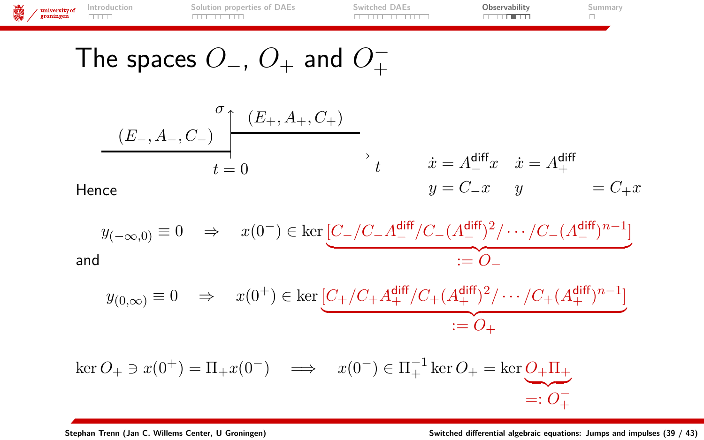**[Introduction](#page-1-0) [Solution properties of DAEs](#page-6-0) [Switched DAEs](#page-17-0) [Observability](#page-36-0) [Summary](#page-46-0)**  $\begin{tabular}{c} {\bf \large \begin{tabular}{c} {\bf \large \begin{tabular}{c} {\bf \large \begin{tabular}{c} {\bf \large \begin{tabular}{c} {\bf \large \begin{tabular}{c} {\bf \large \begin{tabular}{c} {\bf \large \begin{tabular}{c} {\bf \large \begin{tabular}{c} {\bf \large \begin{tabular}{c} {\bf \large \begin{tabular}{c} {\bf \large \begin{tabular}{c} {\bf \large \begin{tabular}{c} {\bf \large \begin{tabular}{c} {\bf \large \begin{tabular}{c} {\bf \large \begin{tabular}{c} {\bf \large \begin{tabular}{c} {\bf \large \begin{tabular}{c} {\bf \large \begin{tab$ 

The spaces 
$$
O_-, O_+
$$
 and  $O_+^-$ 

$$
\underbrace{(E_-, A_-, C_-)}_{t=0} \xrightarrow{\sigma} \underbrace{(E_+, A_+, C_+)}_{t=0} \cdot t \qquad \begin{array}{c} \dot{x} = A_-^{\text{diff}} x & \dot{x} = A_+^{\text{diff}} \\ y = C_- x & y \\ \end{array} = C_+ x
$$

$$
y_{(-\infty,0)}\equiv 0\quad\Rightarrow\quad x(0^-)\in\ker\underbrace{[C_-/C_-A_-^{\text{diff}}/C_-(A_-^{\text{diff}})^2/\cdots/C_-(A_-^{\text{diff}})^{n-1}]}_{:=\,O_-}
$$
 and

$$
y_{(0,\infty)}\equiv 0 \quad \Rightarrow \quad x(0^+) \in \ker \underbrace{[C_+/C_+ A_+^{\text{diff}}/C_+(A_+^{\text{diff}})^2/\cdots/C_+(A_+^{\text{diff}})^{n-1}]}_{:=\ O_+}
$$

$$
\ker O_+ \ni x(0^+) = \Pi_+ x(0^-) \quad \Longrightarrow \quad x(0^-) \in \Pi_+^{-1} \ker O_+ = \ker \underbrace{O_+ \Pi_+}_{=: \; O_+^-} =: O_+^-
$$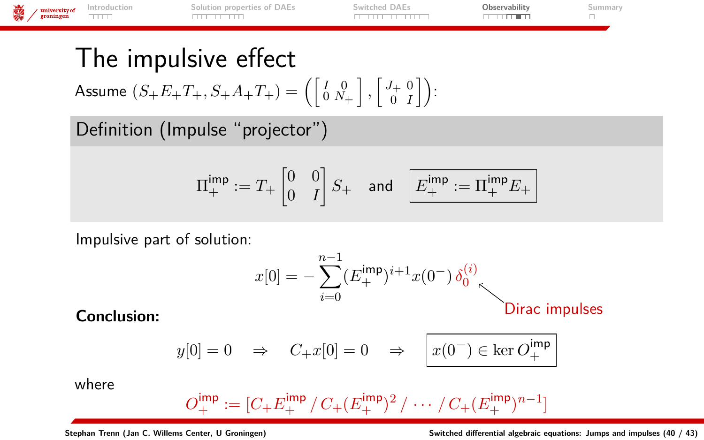| university of<br>groningen | <b>Introduction</b> | DAES<br>nronerties of    | witched DAEs | Uhservability | . |  |
|----------------------------|---------------------|--------------------------|--------------|---------------|---|--|
|                            |                     | $\overline{\phantom{a}}$ |              |               |   |  |
|                            |                     |                          |              |               |   |  |

### The impulsive effect

 $\mathsf{Assume}\,\left(S_{+}E_{+}T_{+},S_{+}A_{+}T_{+}\right)=\left(\left[\begin{smallmatrix} I & 0 \ 0 & N_{+} \end{smallmatrix}\right],\left[\begin{smallmatrix} J_{+} & 0 \ 0 & I \end{smallmatrix}\right]\right):$ 

Definition (Impulse "projector")

$$
\Pi^{\text{imp}}_{+}:=T_{+}\begin{bmatrix}0&0\\0&I\end{bmatrix}S_{+} \quad \text{and} \quad \boxed{E^{\text{imp}}_{+}:=\Pi^{\text{imp}}_{+}E_{+}}
$$

Impulsive part of solution:

$$
x[0] = -\sum_{i=0}^{n-1} (E_+^{\text{imp}})^{i+1} x(0^-) \delta_0^{(i)}
$$
Dirac impulses

$$
y[0] = 0
$$
  $\Rightarrow$   $C_{+}x[0] = 0$   $\Rightarrow$   $x(0^{-}) \in \text{ker } O_{+}^{imp}$ 

where

$$
O_+^{\text{imp}} := [C_+ E_+^{\text{imp}} / C_+ (E_+^{\text{imp}})^2 / \cdots / C_+ (E_+^{\text{imp}})^{n-1}]
$$

**Stephan Trenn (Jan C. Willems Center, U Groningen) [Switched differential algebraic equations: Jumps and impulses](#page-0-0) (40 / 43)**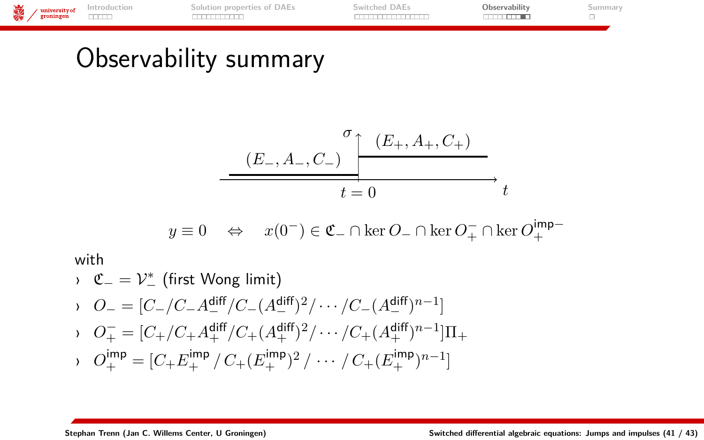

# Observability summary

$$
\begin{array}{c}\n \sigma \\
\hline\n (E_-, A_-, C_-) \quad t = 0\n \end{array}
$$

$$
y\equiv 0 \quad \Leftrightarrow \quad x(0^-)\in \mathfrak{C}_-\cap\ker O_-\cap \ker O_+^-\cap \ker O_+^{\rm imp-}
$$

with

$$
C_{-} = V_{-}^{*} \text{ (first Wong limit)}
$$
  
\n
$$
O_{-} = [C_{-}/C_{-}A_{-}^{\text{diff}}/C_{-}(A_{-}^{\text{diff}})^{2}/ \cdots /C_{-}(A_{-}^{\text{diff}})^{n-1}]
$$
  
\n
$$
O_{+}^{-} = [C_{+}/C_{+}A_{+}^{\text{diff}}/C_{+}(A_{+}^{\text{diff}})^{2}/ \cdots /C_{+}(A_{+}^{\text{diff}})^{n-1}]\Pi_{+}
$$
  
\n
$$
O_{+}^{\text{imp}} = [C_{+}E_{+}^{\text{imp}}/C_{+}(E_{+}^{\text{imp}})^{2}/ \cdots / C_{+}(E_{+}^{\text{imp}})^{n-1}]
$$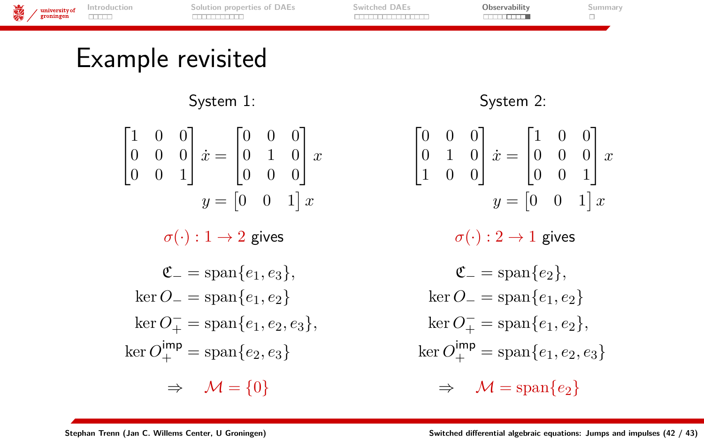

# Example revisited

System 1:

|  |                                                 |  | $\begin{bmatrix} 1 & 0 & 0 \\ 0 & 0 & 0 \\ 0 & 0 & 1 \end{bmatrix} \dot{x} = \begin{bmatrix} 0 & 0 & 0 \\ 0 & 1 & 0 \\ 0 & 0 & 0 \end{bmatrix} x$<br>$y = \begin{bmatrix} 0 & 0 & 1 \end{bmatrix} x$ |
|--|-------------------------------------------------|--|------------------------------------------------------------------------------------------------------------------------------------------------------------------------------------------------------|
|  | $\sigma(\cdot): 1 \to 2$ gives                  |  |                                                                                                                                                                                                      |
|  | $\mathfrak{C}_{-} = \text{span}\{e_1, e_3\},\,$ |  |                                                                                                                                                                                                      |
|  | $\ker O_- = \operatorname{span}\{e_1, e_2\}$    |  |                                                                                                                                                                                                      |
|  |                                                 |  | $\ker O_{+}^{-} = \text{span}\{e_1, e_2, e_3\},\,$                                                                                                                                                   |
|  | $\ker O^{imp}_+ = \text{span}\{e_2, e_3\}$      |  |                                                                                                                                                                                                      |
|  | $\Rightarrow$ $\mathcal{M} = \{0\}$             |  |                                                                                                                                                                                                      |

#### System 2:

$$
\begin{bmatrix} 0 & 0 & 0 \\ 0 & 1 & 0 \\ 1 & 0 & 0 \end{bmatrix} \dot{x} = \begin{bmatrix} 1 & 0 & 0 \\ 0 & 0 & 0 \\ 0 & 0 & 1 \end{bmatrix} x
$$

$$
y = \begin{bmatrix} 0 & 0 & 1 \end{bmatrix} x
$$

 $\sigma(\cdot): 2 \to 1$  gives

$$
\mathfrak{C}_{-} = \text{span}\{e_2\},
$$
  
\n
$$
\ker O_{-} = \text{span}\{e_1, e_2\}
$$
  
\n
$$
\ker O_{+}^{-} = \text{span}\{e_1, e_2\},
$$
  
\n
$$
\ker O_{+}^{\text{imp}} = \text{span}\{e_1, e_2, e_3\}
$$

$$
\Rightarrow \quad \mathcal{M} = \mathrm{span}\{e_2\}
$$